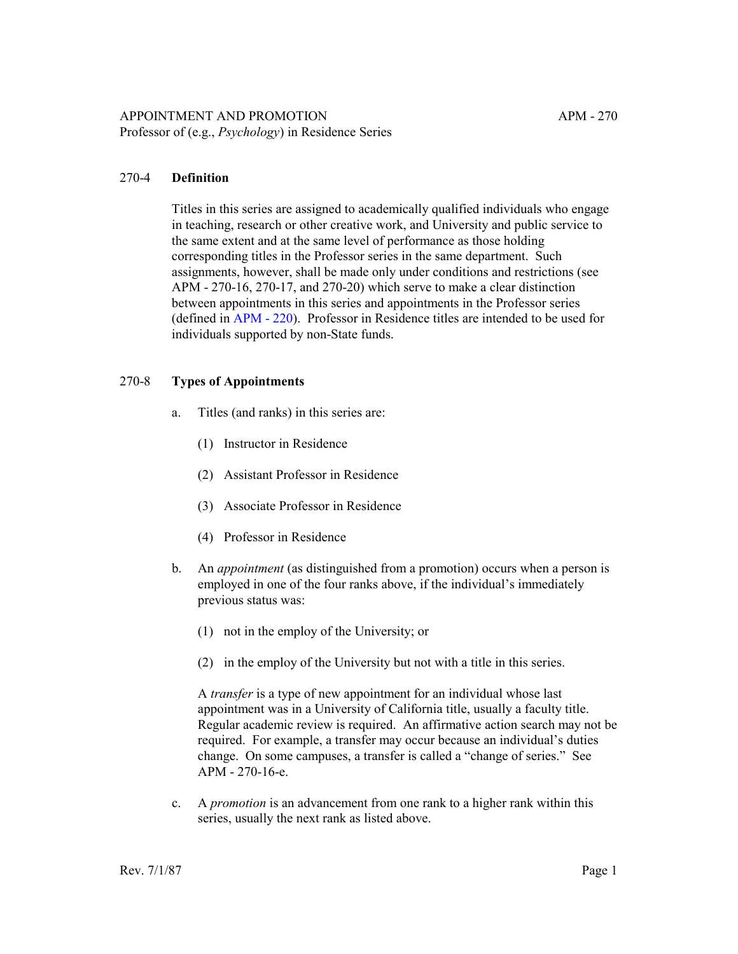## 270-4 **Definition**

Titles in this series are assigned to academically qualified individuals who engage in teaching, research or other creative work, and University and public service to the same extent and at the same level of performance as those holding corresponding titles in the Professor series in the same department. Such assignments, however, shall be made only under conditions and restrictions (see APM - 270-16, 270-17, and 270-20) which serve to make a clear distinction between appointments in this series and appointments in the Professor series (defined in [APM - 220](http://ucop.edu/academic-personnel-programs/_files/apm/apm-220.pdf)). Professor in Residence titles are intended to be used for individuals supported by non-State funds.

## 270-8 **Types of Appointments**

- a. Titles (and ranks) in this series are:
	- (1) Instructor in Residence
	- (2) Assistant Professor in Residence
	- (3) Associate Professor in Residence
	- (4) Professor in Residence
- b. An *appointment* (as distinguished from a promotion) occurs when a person is employed in one of the four ranks above, if the individual's immediately previous status was:
	- (1) not in the employ of the University; or
	- (2) in the employ of the University but not with a title in this series.

A *transfer* is a type of new appointment for an individual whose last appointment was in a University of California title, usually a faculty title. Regular academic review is required. An affirmative action search may not be required. For example, a transfer may occur because an individual's duties change. On some campuses, a transfer is called a "change of series." See APM - 270-16-e.

c. A *promotion* is an advancement from one rank to a higher rank within this series, usually the next rank as listed above.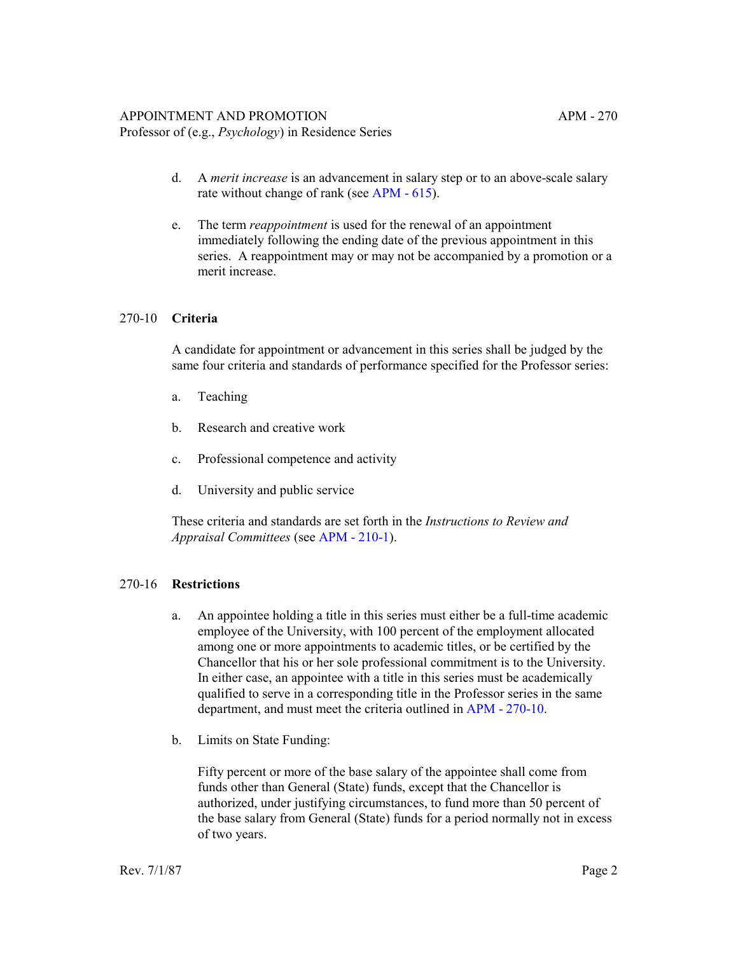Professor of (e.g., *Psychology*) in Residence Series

- d. A *merit increase* is an advancement in salary step or to an above-scale salary rate without change of rank (see [APM - 615](http://ucop.edu/academic-personnel-programs/_files/apm/apm-615.pdf)).
- e. The term *reappointment* is used for the renewal of an appointment immediately following the ending date of the previous appointment in this series. A reappointment may or may not be accompanied by a promotion or a merit increase.

#### 270-10 **Criteria**

A candidate for appointment or advancement in this series shall be judged by the same four criteria and standards of performance specified for the Professor series:

- a. Teaching
- b. Research and creative work
- c. Professional competence and activity
- d. University and public service

These criteria and standards are set forth in the *Instructions to Review and Appraisal Committees* (see [APM - 210-1](http://ucop.edu/academic-personnel-programs/_files/apm/apm-210.pdf)).

#### 270-16 **Restrictions**

- a. An appointee holding a title in this series must either be a full-time academic employee of the University, with 100 percent of the employment allocated among one or more appointments to academic titles, or be certified by the Chancellor that his or her sole professional commitment is to the University. In either case, an appointee with a title in this series must be academically qualified to serve in a corresponding title in the Professor series in the same department, and must meet the criteria outlined in [APM - 270-10](http://ucop.edu/academic-personnel-programs/_files/apm/apm-270.pdf).
- b. Limits on State Funding:

Fifty percent or more of the base salary of the appointee shall come from funds other than General (State) funds, except that the Chancellor is authorized, under justifying circumstances, to fund more than 50 percent of the base salary from General (State) funds for a period normally not in excess of two years.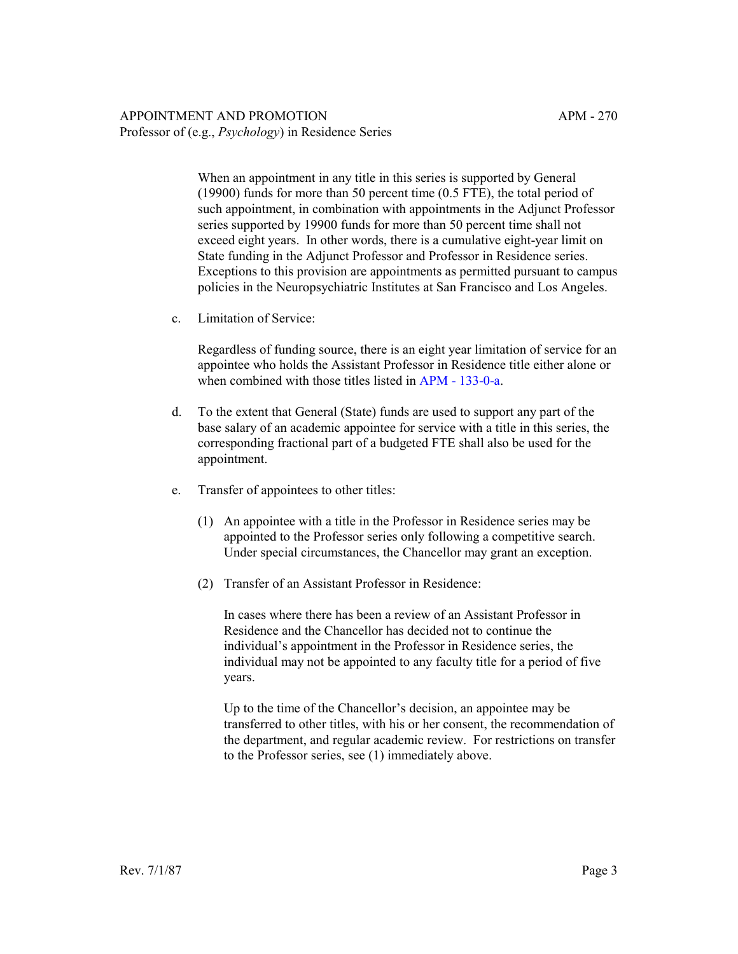#### APPOINTMENT AND PROMOTION APM - 270 Professor of (e.g., *Psychology*) in Residence Series

When an appointment in any title in this series is supported by General (19900) funds for more than 50 percent time (0.5 FTE), the total period of such appointment, in combination with appointments in the Adjunct Professor series supported by 19900 funds for more than 50 percent time shall not exceed eight years. In other words, there is a cumulative eight-year limit on State funding in the Adjunct Professor and Professor in Residence series. Exceptions to this provision are appointments as permitted pursuant to campus policies in the Neuropsychiatric Institutes at San Francisco and Los Angeles.

c. Limitation of Service:

Regardless of funding source, there is an eight year limitation of service for an appointee who holds the Assistant Professor in Residence title either alone or when combined with those titles listed in [APM - 133-0-a](http://ucop.edu/academic-personnel-programs/_files/apm/apm-133.pdf).

- d. To the extent that General (State) funds are used to support any part of the base salary of an academic appointee for service with a title in this series, the corresponding fractional part of a budgeted FTE shall also be used for the appointment.
- e. Transfer of appointees to other titles:
	- (1) An appointee with a title in the Professor in Residence series may be appointed to the Professor series only following a competitive search. Under special circumstances, the Chancellor may grant an exception.
	- (2) Transfer of an Assistant Professor in Residence:

In cases where there has been a review of an Assistant Professor in Residence and the Chancellor has decided not to continue the individual's appointment in the Professor in Residence series, the individual may not be appointed to any faculty title for a period of five years.

Up to the time of the Chancellor's decision, an appointee may be transferred to other titles, with his or her consent, the recommendation of the department, and regular academic review. For restrictions on transfer to the Professor series, see (1) immediately above.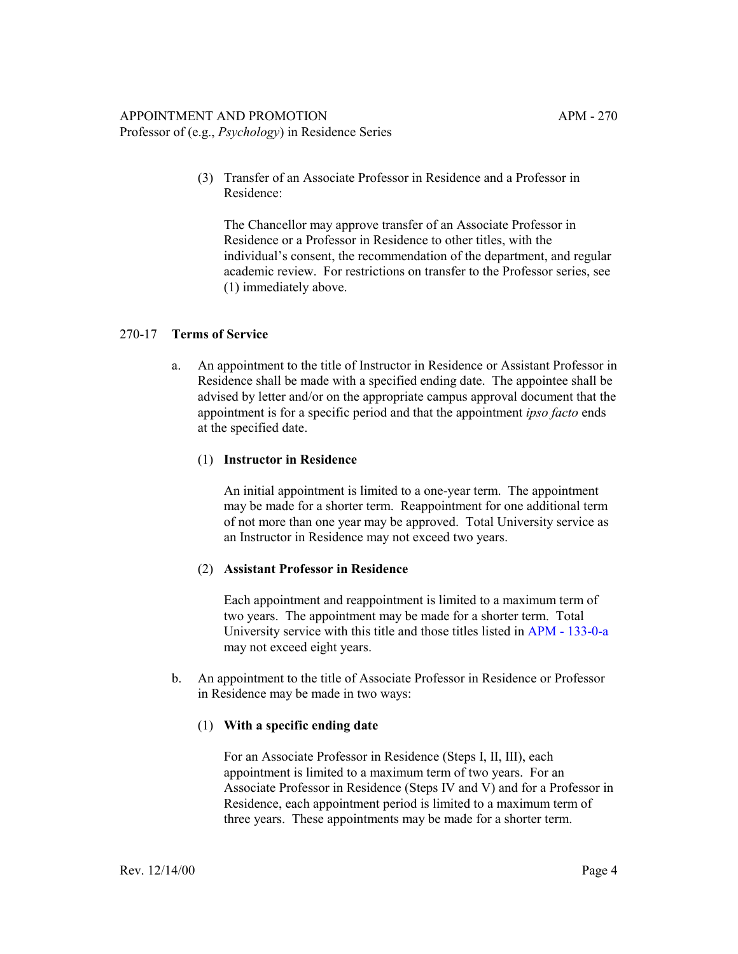Professor of (e.g., *Psychology*) in Residence Series

(3) Transfer of an Associate Professor in Residence and a Professor in Residence:

The Chancellor may approve transfer of an Associate Professor in Residence or a Professor in Residence to other titles, with the individual's consent, the recommendation of the department, and regular academic review. For restrictions on transfer to the Professor series, see (1) immediately above.

# 270-17 **Terms of Service**

a. An appointment to the title of Instructor in Residence or Assistant Professor in Residence shall be made with a specified ending date. The appointee shall be advised by letter and/or on the appropriate campus approval document that the appointment is for a specific period and that the appointment *ipso facto* ends at the specified date.

# (1) **Instructor in Residence**

An initial appointment is limited to a one-year term. The appointment may be made for a shorter term. Reappointment for one additional term of not more than one year may be approved. Total University service as an Instructor in Residence may not exceed two years.

# (2) **Assistant Professor in Residence**

Each appointment and reappointment is limited to a maximum term of two years. The appointment may be made for a shorter term. Total University service with this title and those titles listed in [APM - 133-0-a](http://ucop.edu/academic-personnel-programs/_files/apm/apm-133.pdf) may not exceed eight years.

b. An appointment to the title of Associate Professor in Residence or Professor in Residence may be made in two ways:

# (1) **With a specific ending date**

For an Associate Professor in Residence (Steps I, II, III), each appointment is limited to a maximum term of two years. For an Associate Professor in Residence (Steps IV and V) and for a Professor in Residence, each appointment period is limited to a maximum term of three years. These appointments may be made for a shorter term.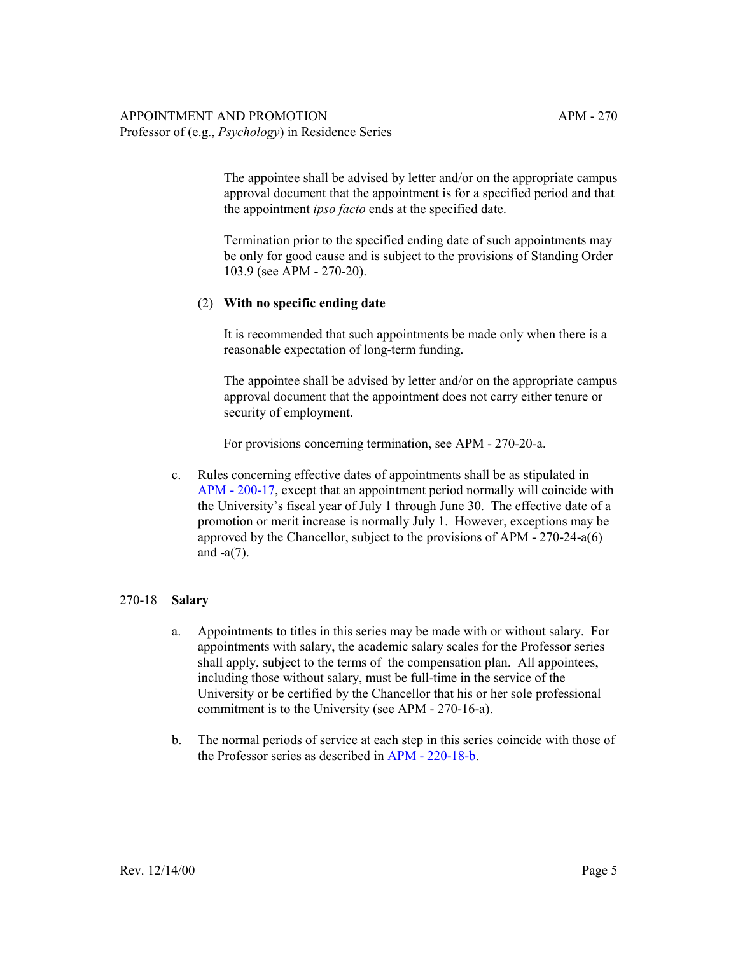The appointee shall be advised by letter and/or on the appropriate campus approval document that the appointment is for a specified period and that the appointment *ipso facto* ends at the specified date.

Termination prior to the specified ending date of such appointments may be only for good cause and is subject to the provisions of Standing Order 103.9 (see APM - 270-20).

## (2) **With no specific ending date**

It is recommended that such appointments be made only when there is a reasonable expectation of long-term funding.

The appointee shall be advised by letter and/or on the appropriate campus approval document that the appointment does not carry either tenure or security of employment.

For provisions concerning termination, see APM - 270-20-a.

c. Rules concerning effective dates of appointments shall be as stipulated in [APM - 200-17](http://ucop.edu/academic-personnel-programs/_files/apm/apm-200.pdf), except that an appointment period normally will coincide with the University's fiscal year of July 1 through June 30. The effective date of a promotion or merit increase is normally July 1. However, exceptions may be approved by the Chancellor, subject to the provisions of APM - 270-24-a(6) and -a(7).

# 270-18 **Salary**

- a. Appointments to titles in this series may be made with or without salary. For appointments with salary, the academic salary scales for the Professor series shall apply, subject to the terms of the compensation plan. All appointees, including those without salary, must be full-time in the service of the University or be certified by the Chancellor that his or her sole professional commitment is to the University (see APM - 270-16-a).
- b. The normal periods of service at each step in this series coincide with those of the Professor series as described in [APM - 220-18-b.](http://ucop.edu/academic-personnel-programs/_files/apm/apm-220.pdf)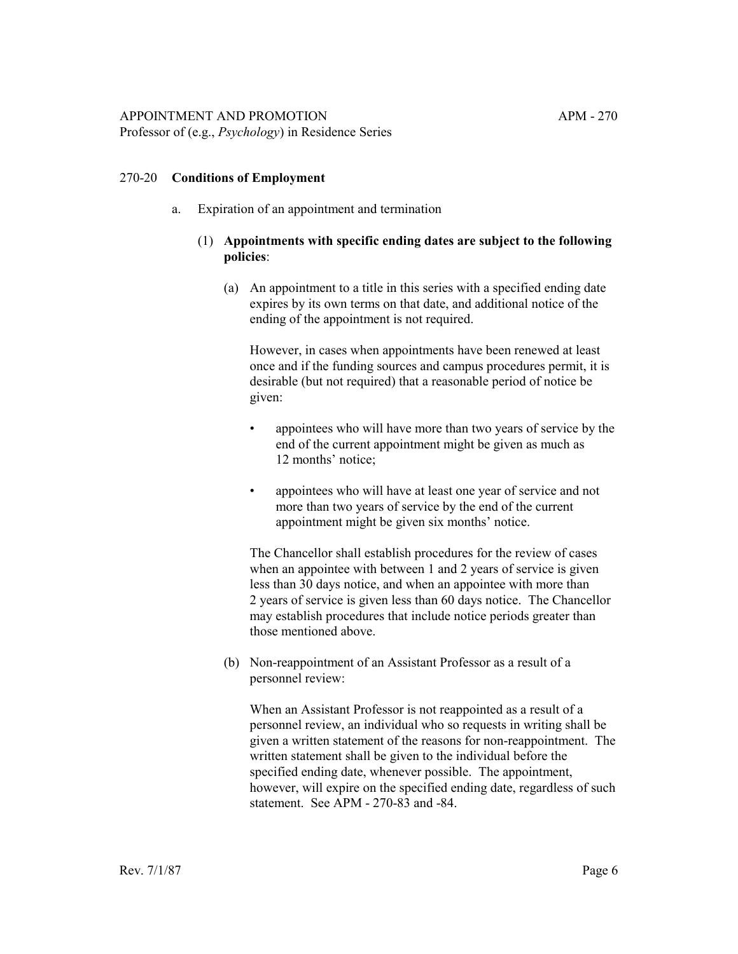#### 270-20 **Conditions of Employment**

- a. Expiration of an appointment and termination
	- (1) **Appointments with specific ending dates are subject to the following policies**:
		- (a) An appointment to a title in this series with a specified ending date expires by its own terms on that date, and additional notice of the ending of the appointment is not required.

However, in cases when appointments have been renewed at least once and if the funding sources and campus procedures permit, it is desirable (but not required) that a reasonable period of notice be given:

- appointees who will have more than two years of service by the end of the current appointment might be given as much as 12 months' notice;
- appointees who will have at least one year of service and not more than two years of service by the end of the current appointment might be given six months' notice.

The Chancellor shall establish procedures for the review of cases when an appointee with between 1 and 2 years of service is given less than 30 days notice, and when an appointee with more than 2 years of service is given less than 60 days notice. The Chancellor may establish procedures that include notice periods greater than those mentioned above.

(b) Non-reappointment of an Assistant Professor as a result of a personnel review:

When an Assistant Professor is not reappointed as a result of a personnel review, an individual who so requests in writing shall be given a written statement of the reasons for non-reappointment. The written statement shall be given to the individual before the specified ending date, whenever possible. The appointment, however, will expire on the specified ending date, regardless of such statement. See APM - 270-83 and -84.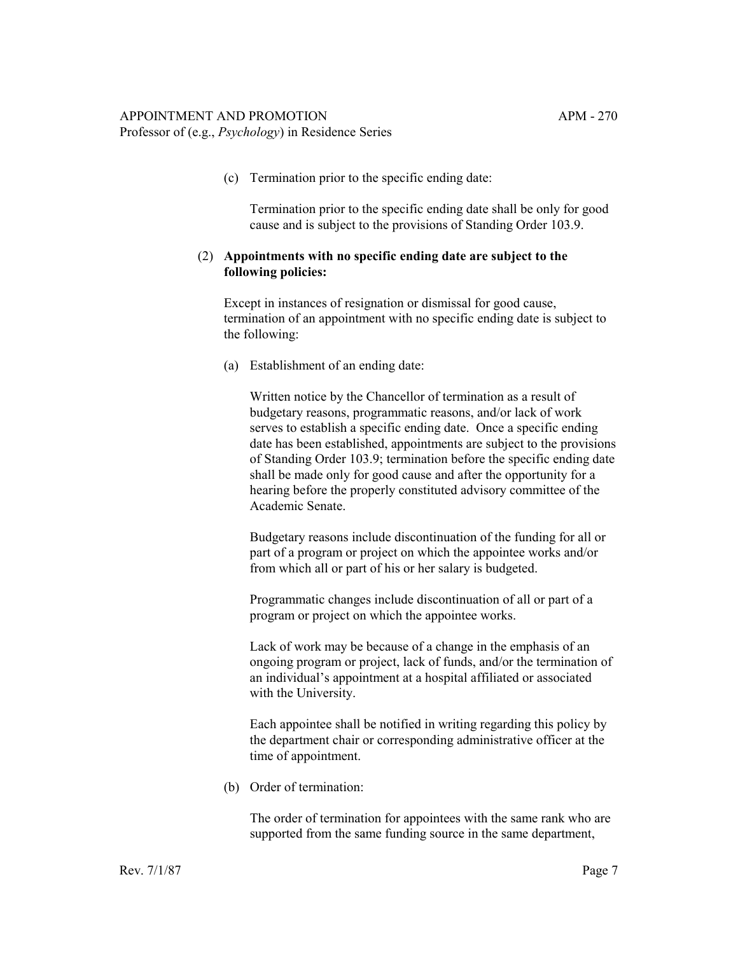Professor of (e.g., *Psychology*) in Residence Series

(c) Termination prior to the specific ending date:

Termination prior to the specific ending date shall be only for good cause and is subject to the provisions of Standing Order 103.9.

## (2) **Appointments with no specific ending date are subject to the following policies:**

Except in instances of resignation or dismissal for good cause, termination of an appointment with no specific ending date is subject to the following:

(a) Establishment of an ending date:

Written notice by the Chancellor of termination as a result of budgetary reasons, programmatic reasons, and/or lack of work serves to establish a specific ending date. Once a specific ending date has been established, appointments are subject to the provisions of Standing Order 103.9; termination before the specific ending date shall be made only for good cause and after the opportunity for a hearing before the properly constituted advisory committee of the Academic Senate.

Budgetary reasons include discontinuation of the funding for all or part of a program or project on which the appointee works and/or from which all or part of his or her salary is budgeted.

Programmatic changes include discontinuation of all or part of a program or project on which the appointee works.

Lack of work may be because of a change in the emphasis of an ongoing program or project, lack of funds, and/or the termination of an individual's appointment at a hospital affiliated or associated with the University.

Each appointee shall be notified in writing regarding this policy by the department chair or corresponding administrative officer at the time of appointment.

(b) Order of termination:

The order of termination for appointees with the same rank who are supported from the same funding source in the same department,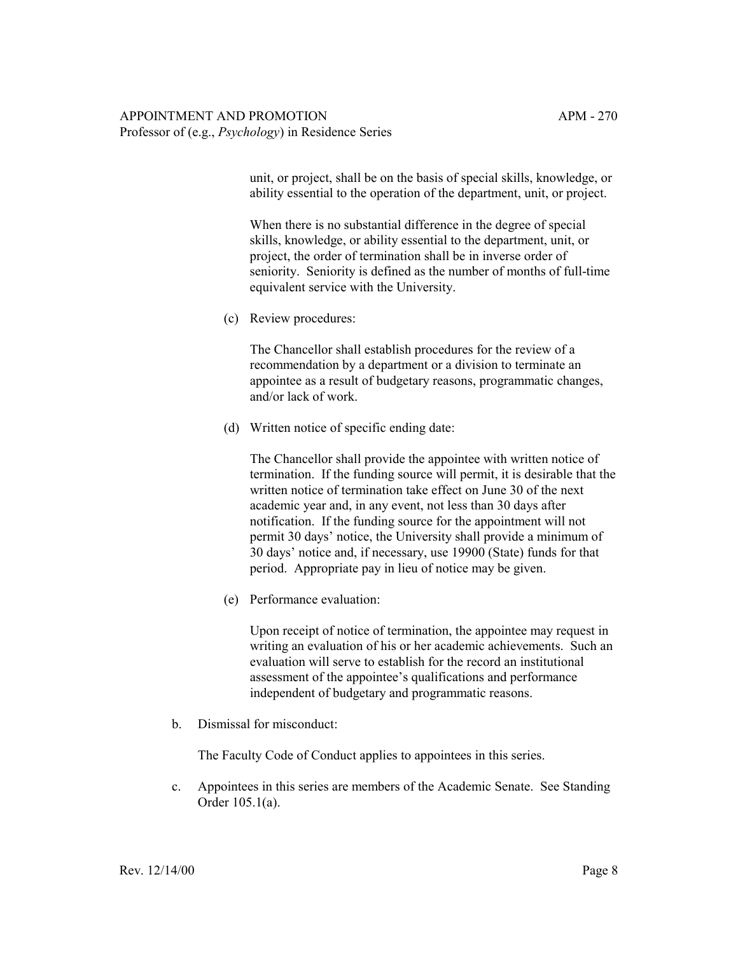unit, or project, shall be on the basis of special skills, knowledge, or ability essential to the operation of the department, unit, or project.

When there is no substantial difference in the degree of special skills, knowledge, or ability essential to the department, unit, or project, the order of termination shall be in inverse order of seniority. Seniority is defined as the number of months of full-time equivalent service with the University.

(c) Review procedures:

The Chancellor shall establish procedures for the review of a recommendation by a department or a division to terminate an appointee as a result of budgetary reasons, programmatic changes, and/or lack of work.

(d) Written notice of specific ending date:

The Chancellor shall provide the appointee with written notice of termination. If the funding source will permit, it is desirable that the written notice of termination take effect on June 30 of the next academic year and, in any event, not less than 30 days after notification. If the funding source for the appointment will not permit 30 days' notice, the University shall provide a minimum of 30 days' notice and, if necessary, use 19900 (State) funds for that period. Appropriate pay in lieu of notice may be given.

(e) Performance evaluation:

Upon receipt of notice of termination, the appointee may request in writing an evaluation of his or her academic achievements. Such an evaluation will serve to establish for the record an institutional assessment of the appointee's qualifications and performance independent of budgetary and programmatic reasons.

b. Dismissal for misconduct:

The Faculty Code of Conduct applies to appointees in this series.

c. Appointees in this series are members of the Academic Senate. See Standing Order 105.1(a).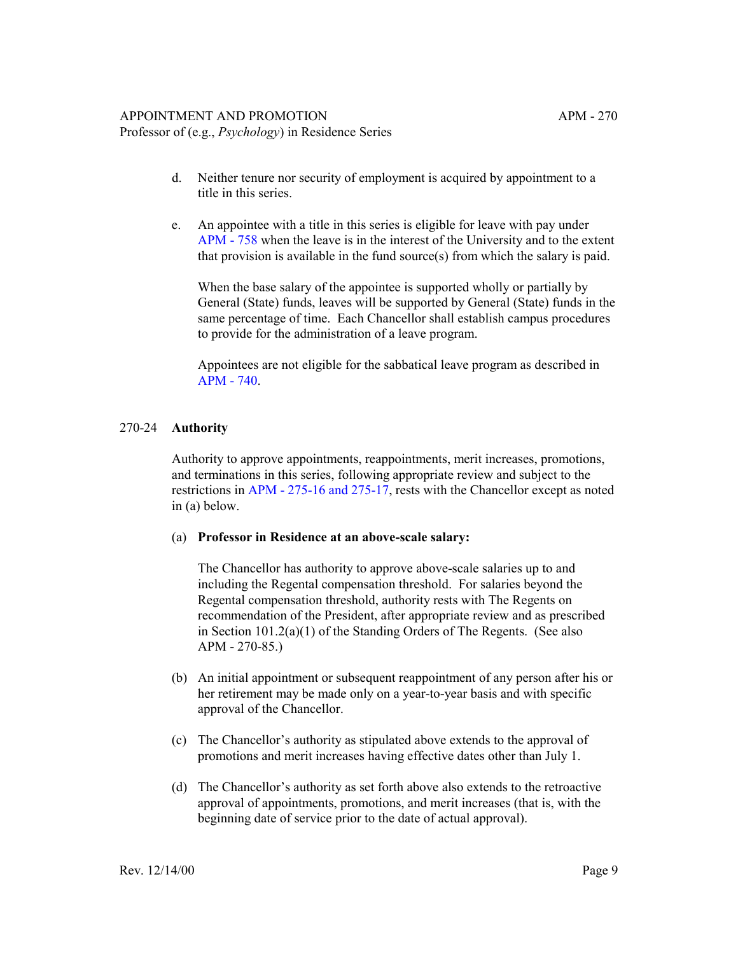Professor of (e.g., *Psychology*) in Residence Series

- d. Neither tenure nor security of employment is acquired by appointment to a title in this series.
- e. An appointee with a title in this series is eligible for leave with pay under [APM - 758](http://ucop.edu/academic-personnel-programs/_files/apm/apm-758.pdf) when the leave is in the interest of the University and to the extent that provision is available in the fund source(s) from which the salary is paid.

When the base salary of the appointee is supported wholly or partially by General (State) funds, leaves will be supported by General (State) funds in the same percentage of time. Each Chancellor shall establish campus procedures to provide for the administration of a leave program.

Appointees are not eligible for the sabbatical leave program as described in [APM - 740.](http://ucop.edu/academic-personnel-programs/_files/apm/apm-740.pdf)

## 270-24 **Authority**

Authority to approve appointments, reappointments, merit increases, promotions, and terminations in this series, following appropriate review and subject to the restrictions in [APM - 275-16 and 275-17,](http://ucop.edu/academic-personnel-programs/_files/apm/apm-275.pdf) rests with the Chancellor except as noted in (a) below.

#### (a) **Professor in Residence at an above-scale salary:**

The Chancellor has authority to approve above-scale salaries up to and including the Regental compensation threshold. For salaries beyond the Regental compensation threshold, authority rests with The Regents on recommendation of the President, after appropriate review and as prescribed in Section 101.2(a)(1) of the Standing Orders of The Regents. (See also APM - 270-85.)

- (b) An initial appointment or subsequent reappointment of any person after his or her retirement may be made only on a year-to-year basis and with specific approval of the Chancellor.
- (c) The Chancellor's authority as stipulated above extends to the approval of promotions and merit increases having effective dates other than July 1.
- (d) The Chancellor's authority as set forth above also extends to the retroactive approval of appointments, promotions, and merit increases (that is, with the beginning date of service prior to the date of actual approval).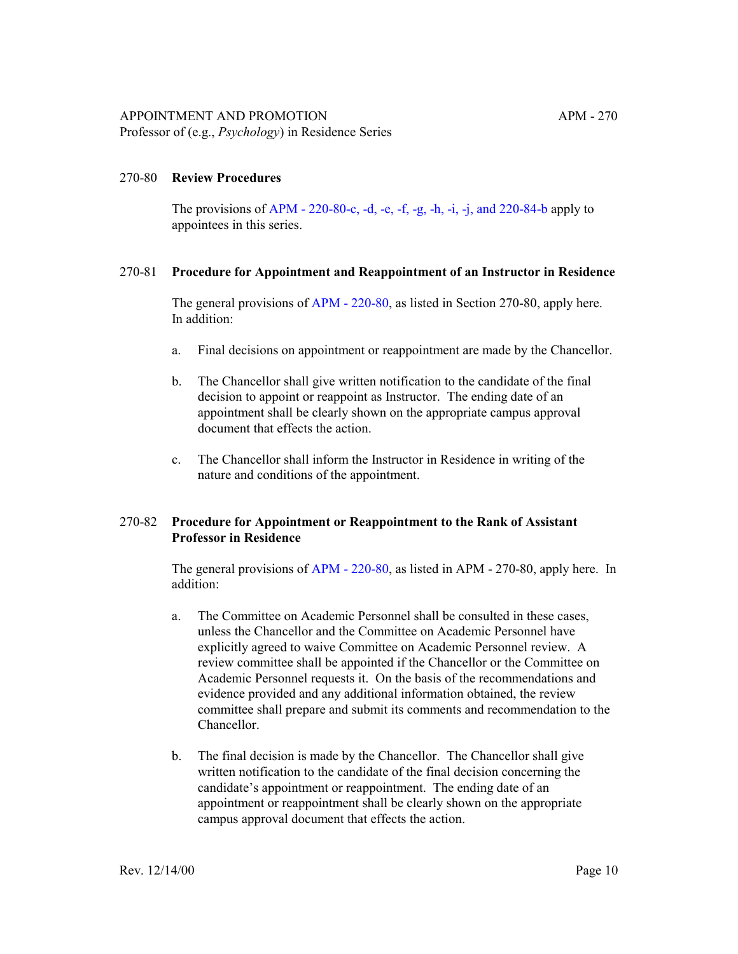The provisions of [APM - 220-80-c, -d, -e, -f, -g, -h, -i, -j, and 220-84-b](http://ucop.edu/academic-personnel-programs/_files/apm/apm-220.pdf) apply to appointees in this series.

## 270-81 **Procedure for Appointment and Reappointment of an Instructor in Residence**

The general provisions of [APM - 220-80,](http://ucop.edu/academic-personnel-programs/_files/apm/apm-220.pdf) as listed in Section 270-80, apply here. In addition:

- a. Final decisions on appointment or reappointment are made by the Chancellor.
- b. The Chancellor shall give written notification to the candidate of the final decision to appoint or reappoint as Instructor. The ending date of an appointment shall be clearly shown on the appropriate campus approval document that effects the action.
- c. The Chancellor shall inform the Instructor in Residence in writing of the nature and conditions of the appointment.

## 270-82 **Procedure for Appointment or Reappointment to the Rank of Assistant Professor in Residence**

The general provisions of [APM - 220-80,](http://ucop.edu/academic-personnel-programs/_files/apm/apm-220.pdf) as listed in APM - 270-80, apply here. In addition:

- a. The Committee on Academic Personnel shall be consulted in these cases, unless the Chancellor and the Committee on Academic Personnel have explicitly agreed to waive Committee on Academic Personnel review. A review committee shall be appointed if the Chancellor or the Committee on Academic Personnel requests it. On the basis of the recommendations and evidence provided and any additional information obtained, the review committee shall prepare and submit its comments and recommendation to the Chancellor.
- b. The final decision is made by the Chancellor. The Chancellor shall give written notification to the candidate of the final decision concerning the candidate's appointment or reappointment. The ending date of an appointment or reappointment shall be clearly shown on the appropriate campus approval document that effects the action.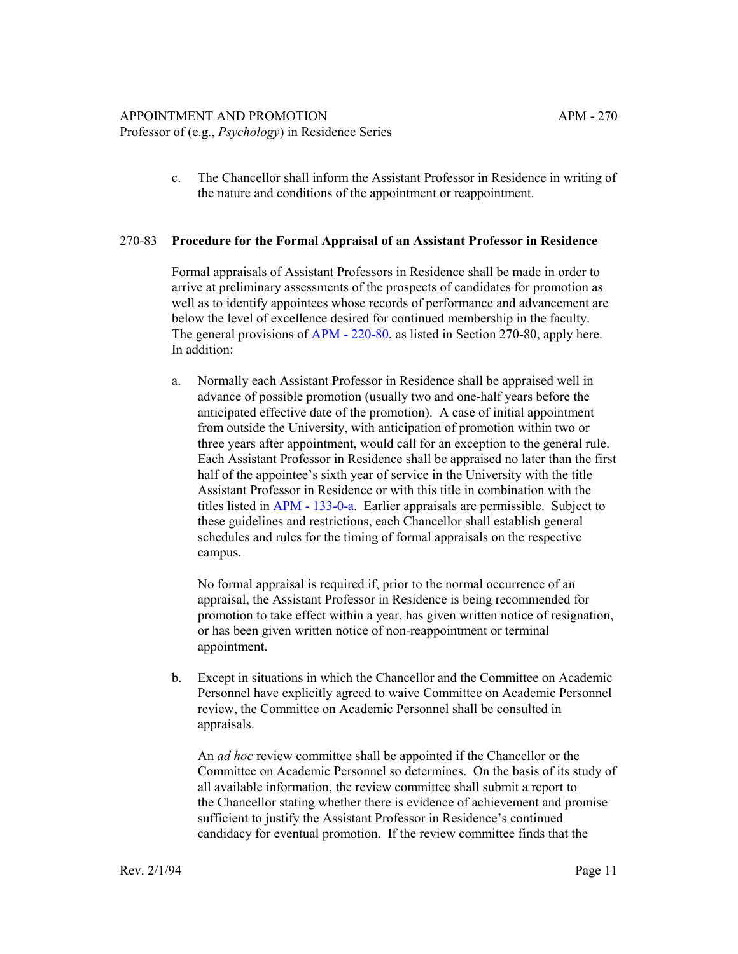Professor of (e.g., *Psychology*) in Residence Series

c. The Chancellor shall inform the Assistant Professor in Residence in writing of the nature and conditions of the appointment or reappointment.

## 270-83 **Procedure for the Formal Appraisal of an Assistant Professor in Residence**

Formal appraisals of Assistant Professors in Residence shall be made in order to arrive at preliminary assessments of the prospects of candidates for promotion as well as to identify appointees whose records of performance and advancement are below the level of excellence desired for continued membership in the faculty. The general provisions of [APM - 220-80,](http://ucop.edu/academic-personnel-programs/_files/apm/apm-220.pdf) as listed in Section 270-80, apply here. In addition:

a. Normally each Assistant Professor in Residence shall be appraised well in advance of possible promotion (usually two and one-half years before the anticipated effective date of the promotion). A case of initial appointment from outside the University, with anticipation of promotion within two or three years after appointment, would call for an exception to the general rule. Each Assistant Professor in Residence shall be appraised no later than the first half of the appointee's sixth year of service in the University with the title Assistant Professor in Residence or with this title in combination with the titles listed in [APM - 133-0-a.](http://ucop.edu/academic-personnel-programs/_files/apm/apm-133.pdf) Earlier appraisals are permissible. Subject to these guidelines and restrictions, each Chancellor shall establish general schedules and rules for the timing of formal appraisals on the respective campus.

No formal appraisal is required if, prior to the normal occurrence of an appraisal, the Assistant Professor in Residence is being recommended for promotion to take effect within a year, has given written notice of resignation, or has been given written notice of non-reappointment or terminal appointment.

b. Except in situations in which the Chancellor and the Committee on Academic Personnel have explicitly agreed to waive Committee on Academic Personnel review, the Committee on Academic Personnel shall be consulted in appraisals.

An *ad hoc* review committee shall be appointed if the Chancellor or the Committee on Academic Personnel so determines. On the basis of its study of all available information, the review committee shall submit a report to the Chancellor stating whether there is evidence of achievement and promise sufficient to justify the Assistant Professor in Residence's continued candidacy for eventual promotion. If the review committee finds that the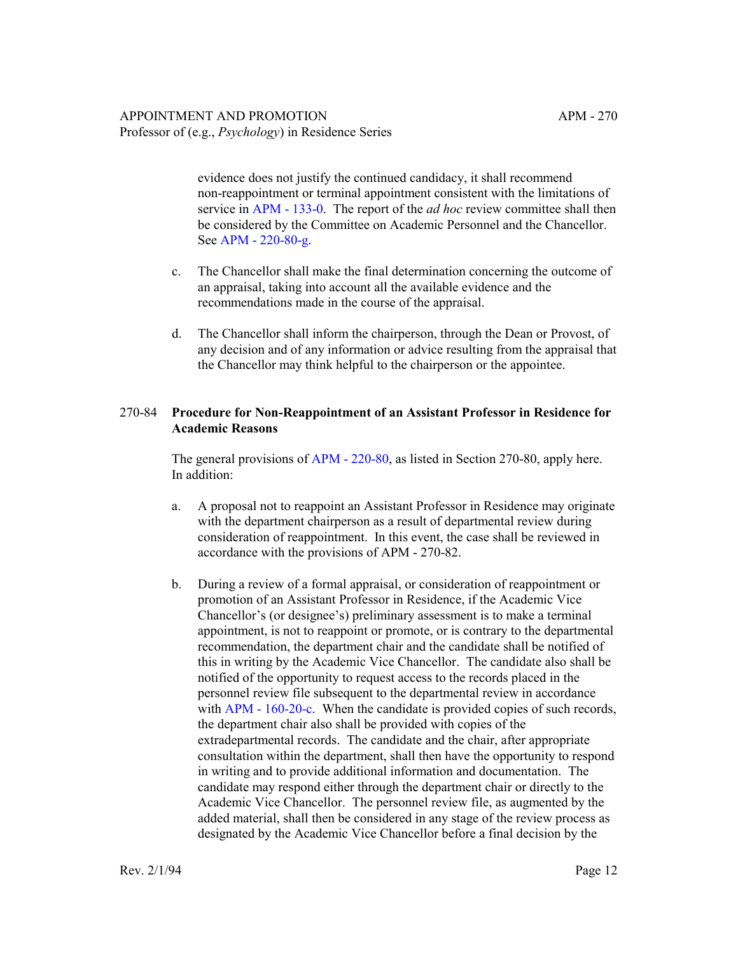evidence does not justify the continued candidacy, it shall recommend non-reappointment or terminal appointment consistent with the limitations of service in [APM - 133-0.](http://ucop.edu/academic-personnel-programs/_files/apm/apm-133.pdf) The report of the *ad hoc* review committee shall then be considered by the Committee on Academic Personnel and the Chancellor. See [APM - 220-80-g.](http://ucop.edu/academic-personnel-programs/_files/apm/apm-220.pdf)

- c. The Chancellor shall make the final determination concerning the outcome of an appraisal, taking into account all the available evidence and the recommendations made in the course of the appraisal.
- d. The Chancellor shall inform the chairperson, through the Dean or Provost, of any decision and of any information or advice resulting from the appraisal that the Chancellor may think helpful to the chairperson or the appointee.

# 270-84 **Procedure for Non-Reappointment of an Assistant Professor in Residence for Academic Reasons**

The general provisions of [APM - 220-80,](http://ucop.edu/academic-personnel-programs/_files/apm/apm-220.pdf) as listed in Section 270-80, apply here. In addition:

- a. A proposal not to reappoint an Assistant Professor in Residence may originate with the department chairperson as a result of departmental review during consideration of reappointment. In this event, the case shall be reviewed in accordance with the provisions of APM - 270-82.
- b. During a review of a formal appraisal, or consideration of reappointment or promotion of an Assistant Professor in Residence, if the Academic Vice Chancellor's (or designee's) preliminary assessment is to make a terminal appointment, is not to reappoint or promote, or is contrary to the departmental recommendation, the department chair and the candidate shall be notified of this in writing by the Academic Vice Chancellor. The candidate also shall be notified of the opportunity to request access to the records placed in the personnel review file subsequent to the departmental review in accordance with [APM - 160-20-c](http://ucop.edu/academic-personnel-programs/_files/apm/apm-160.pdf). When the candidate is provided copies of such records, the department chair also shall be provided with copies of the extradepartmental records. The candidate and the chair, after appropriate consultation within the department, shall then have the opportunity to respond in writing and to provide additional information and documentation. The candidate may respond either through the department chair or directly to the Academic Vice Chancellor. The personnel review file, as augmented by the added material, shall then be considered in any stage of the review process as designated by the Academic Vice Chancellor before a final decision by the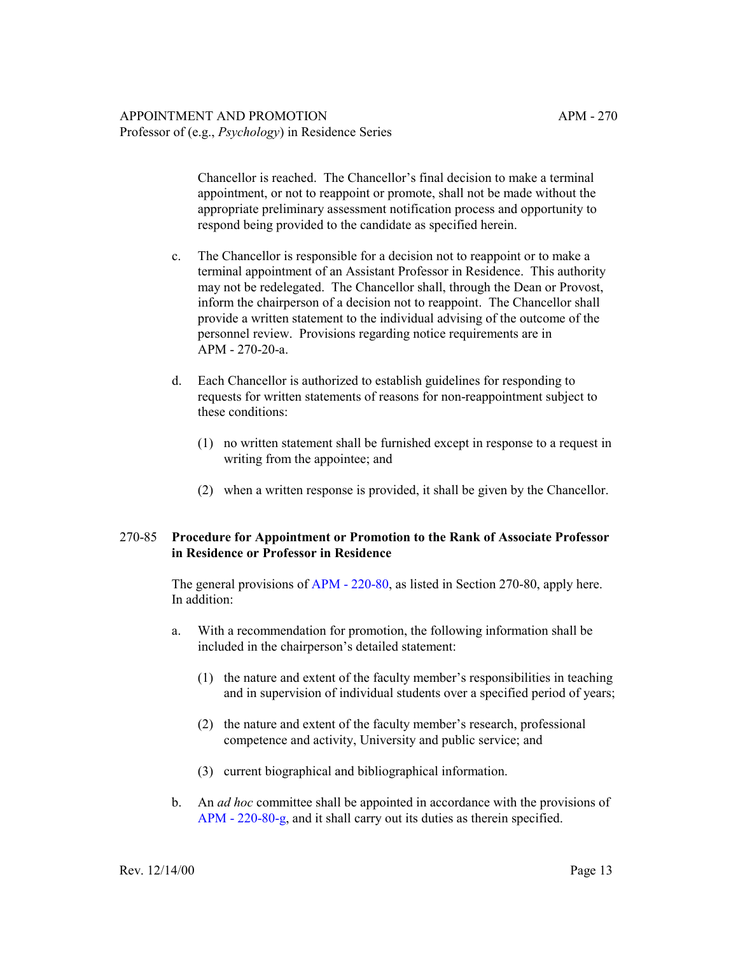## APPOINTMENT AND PROMOTION APM - 270 Professor of (e.g., *Psychology*) in Residence Series

Chancellor is reached. The Chancellor's final decision to make a terminal appointment, or not to reappoint or promote, shall not be made without the appropriate preliminary assessment notification process and opportunity to respond being provided to the candidate as specified herein.

- c. The Chancellor is responsible for a decision not to reappoint or to make a terminal appointment of an Assistant Professor in Residence. This authority may not be redelegated. The Chancellor shall, through the Dean or Provost, inform the chairperson of a decision not to reappoint. The Chancellor shall provide a written statement to the individual advising of the outcome of the personnel review. Provisions regarding notice requirements are in APM - 270-20-a.
- d. Each Chancellor is authorized to establish guidelines for responding to requests for written statements of reasons for non-reappointment subject to these conditions:
	- (1) no written statement shall be furnished except in response to a request in writing from the appointee; and
	- (2) when a written response is provided, it shall be given by the Chancellor.

# 270-85 **Procedure for Appointment or Promotion to the Rank of Associate Professor in Residence or Professor in Residence**

The general provisions of [APM - 220-80,](http://ucop.edu/academic-personnel-programs/_files/apm/apm-220.pdf) as listed in Section 270-80, apply here. In addition:

- a. With a recommendation for promotion, the following information shall be included in the chairperson's detailed statement:
	- $(1)$  the nature and extent of the faculty member's responsibilities in teaching and in supervision of individual students over a specified period of years;
	- $(2)$  the nature and extent of the faculty member's research, professional competence and activity, University and public service; and
	- (3) current biographical and bibliographical information.
- b. An *ad hoc* committee shall be appointed in accordance with the provisions of [APM - 220-80-g](http://ucop.edu/academic-personnel-programs/_files/apm/apm-220.pdf), and it shall carry out its duties as therein specified.